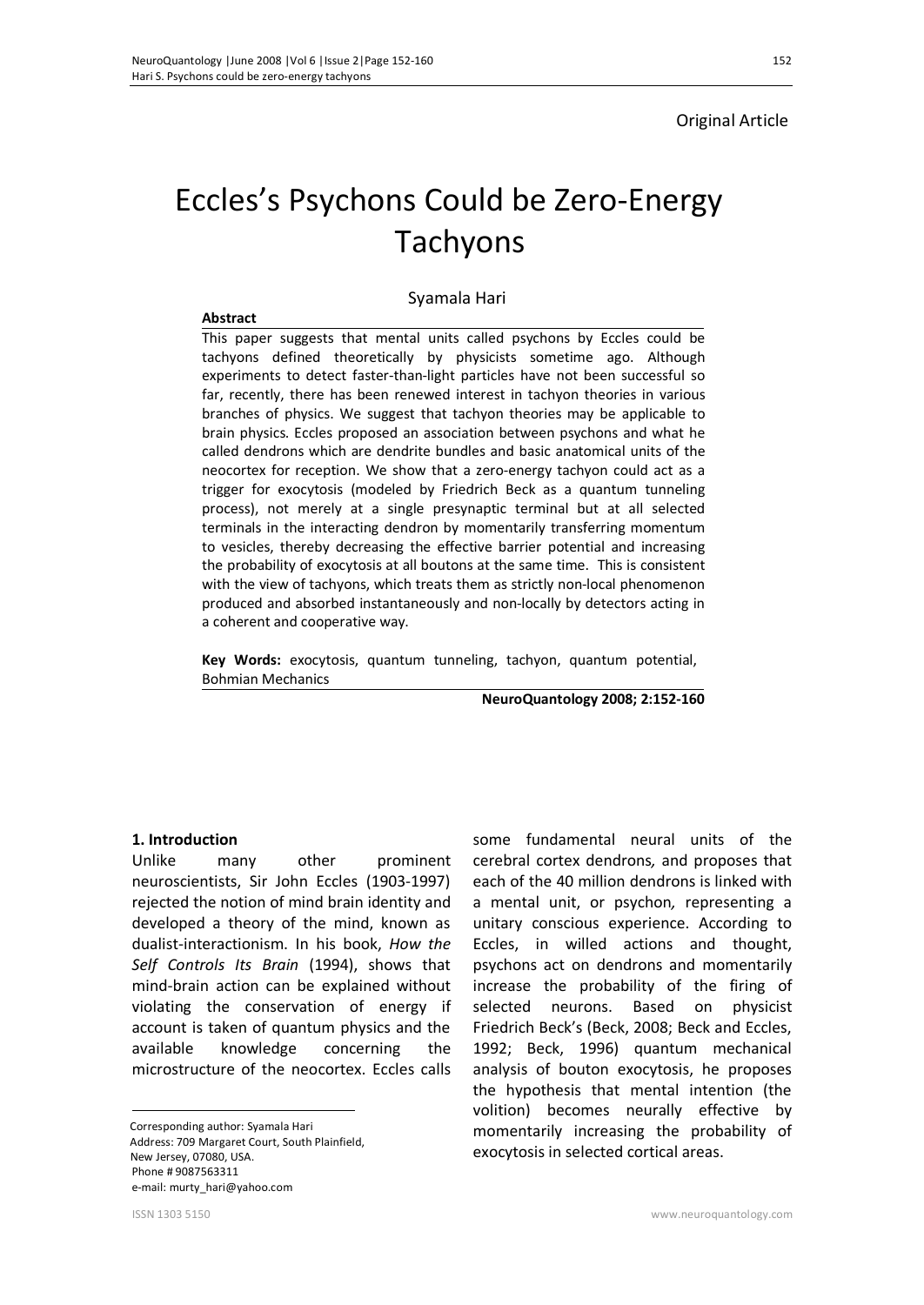**Abstract** 

# Original Article

# Eccles's Psychons Could be Zero-Energy Tachyons

#### Syamala Hari

This paper suggests that mental units called psychons by Eccles could be tachyons defined theoretically by physicists sometime ago. Although experiments to detect faster-than-light particles have not been successful so far, recently, there has been renewed interest in tachyon theories in various branches of physics. We suggest that tachyon theories may be applicable to brain physics. Eccles proposed an association between psychons and what he called dendrons which are dendrite bundles and basic anatomical units of the neocortex for reception. We show that a zero-energy tachyon could act as a trigger for exocytosis (modeled by Friedrich Beck as a quantum tunneling process), not merely at a single presynaptic terminal but at all selected terminals in the interacting dendron by momentarily transferring momentum to vesicles, thereby decreasing the effective barrier potential and increasing the probability of exocytosis at all boutons at the same time. This is consistent with the view of tachyons, which treats them as strictly non-local phenomenon produced and absorbed instantaneously and non-locally by detectors acting in a coherent and cooperative way.

**Key Words:** exocytosis, quantum tunneling, tachyon, quantum potential, Bohmian Mechanics

**NeuroQuantology 2008; 2:152-160**

#### **1.** Introduction

Unlike many other prominent neuroscientists, Sir John Eccles (1903-1997) rejected the notion of mind brain identity and developed a theory of the mind, known as dualist-interactionism. In his book, *How the Self Controls Its Brain* (1994), shows that mind-brain action can be explained without violating the conservation of energy if account is taken of quantum physics and the available knowledge concerning the microstructure of the neocortex. Eccles calls

 Corresponding author: Syamala Hari Address: 709 Margaret Court, South Plainfield, New Jersey, 07080, USA. Phone # 9087563311 e-mail: murty\_hari@yahoo.com

cerebral cortex dendrons*,* and proposes that each of the 40 million dendrons is linked with a mental unit, or psychon*,* representing a unitary conscious experience. According to Eccles, in willed actions and thought, psychons act on dendrons and momentarily increase the probability of the firing of selected neurons. Based on physicist Friedrich Beck's (Beck, 2008; Beck and Eccles, 1992; Beck, 1996) quantum mechanical analysis of bouton exocytosis, he proposes the hypothesis that mental intention (the volition) becomes neurally effective by momentarily increasing the probability of exocytosis in selected cortical areas.

some fundamental neural units of the

 $\overline{a}$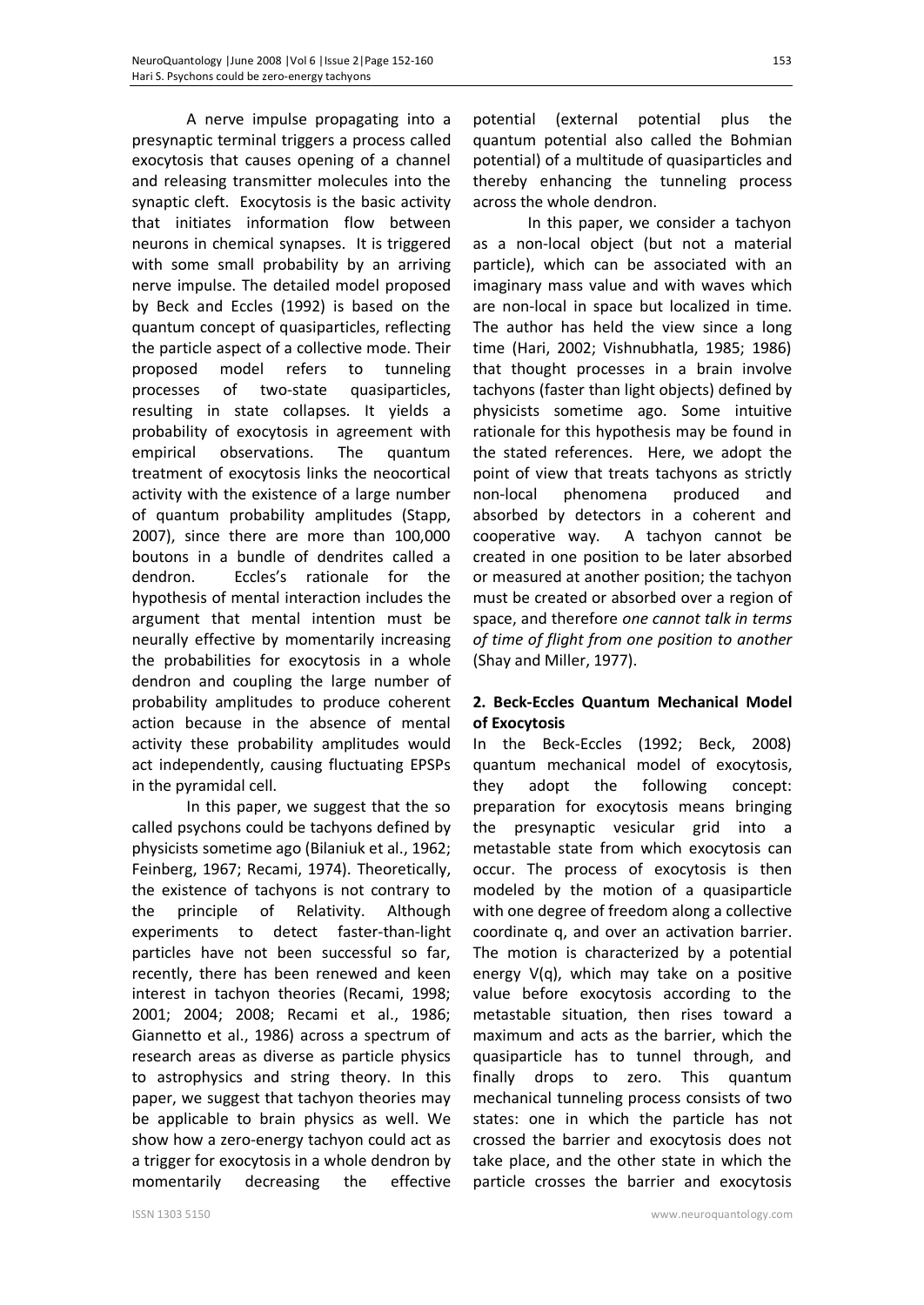A nerve impulse propagating into a presynaptic terminal triggers a process called exocytosis that causes opening of a channel and releasing transmitter molecules into the synaptic cleft. Exocytosis is the basic activity that initiates information flow between neurons in chemical synapses. It is triggered with some small probability by an arriving nerve impulse. The detailed model proposed by Beck and Eccles (1992) is based on the quantum concept of quasiparticles, reflecting the particle aspect of a collective mode. Their proposed model refers to tunneling processes of two-state quasiparticles, resulting in state collapses. It yields a probability of exocytosis in agreement with empirical observations. The quantum treatment of exocytosis links the neocortical activity with the existence of a large number of quantum probability amplitudes (Stapp, 2007), since there are more than 100,000 boutons in a bundle of dendrites called a dendron. Eccles's rationale for the hypothesis of mental interaction includes the argument that mental intention must be neurally effective by momentarily increasing the probabilities for exocytosis in a whole dendron and coupling the large number of probability amplitudes to produce coherent action because in the absence of mental activity these probability amplitudes would act independently, causing fluctuating EPSPs in the pyramidal cell.

In this paper, we suggest that the so called psychons could be tachyons defined by physicists sometime ago (Bilaniuk et al., 1962; Feinberg, 1967; Recami, 1974). Theoretically, the existence of tachyons is not contrary to the principle of Relativity. Although experiments to detect faster-than-light particles have not been successful so far, recently, there has been renewed and keen interest in tachyon theories (Recami, 1998; 2001; 2004; 2008; Recami et al., 1986; Giannetto et al., 1986) across a spectrum of research areas as diverse as particle physics to astrophysics and string theory. In this paper, we suggest that tachyon theories may be applicable to brain physics as well. We show how a zero-energy tachyon could act as a trigger for exocytosis in a whole dendron by momentarily decreasing the effective

potential (external potential plus the quantum potential also called the Bohmian potential) of a multitude of quasiparticles and thereby enhancing the tunneling process across the whole dendron.

In this paper, we consider a tachyon as a non-local object (but not a material particle), which can be associated with an imaginary mass value and with waves which are non-local in space but localized in time. The author has held the view since a long time (Hari, 2002; Vishnubhatla, 1985; 1986) that thought processes in a brain involve tachyons (faster than light objects) defined by physicists sometime ago. Some intuitive rationale for this hypothesis may be found in the stated references. Here, we adopt the point of view that treats tachyons as strictly non-local phenomena produced and absorbed by detectors in a coherent and cooperative way. A tachyon cannot be created in one position to be later absorbed or measured at another position; the tachyon must be created or absorbed over a region of space, and therefore *one cannot talk in terms of time of flight from one position to another*  (Shay and Miller, 1977).

### **2. Beck-Eccles Quantum Mechanical Model of Exocytosis**

In the Beck-Eccles (1992; Beck, 2008) quantum mechanical model of exocytosis, they adopt the following concept: preparation for exocytosis means bringing the presynaptic vesicular grid into a metastable state from which exocytosis can occur. The process of exocytosis is then modeled by the motion of a quasiparticle with one degree of freedom along a collective coordinate q, and over an activation barrier. The motion is characterized by a potential energy V(q), which may take on a positive value before exocytosis according to the metastable situation, then rises toward a maximum and acts as the barrier, which the quasiparticle has to tunnel through, and finally drops to zero. This quantum mechanical tunneling process consists of two states: one in which the particle has not crossed the barrier and exocytosis does not take place, and the other state in which the particle crosses the barrier and exocytosis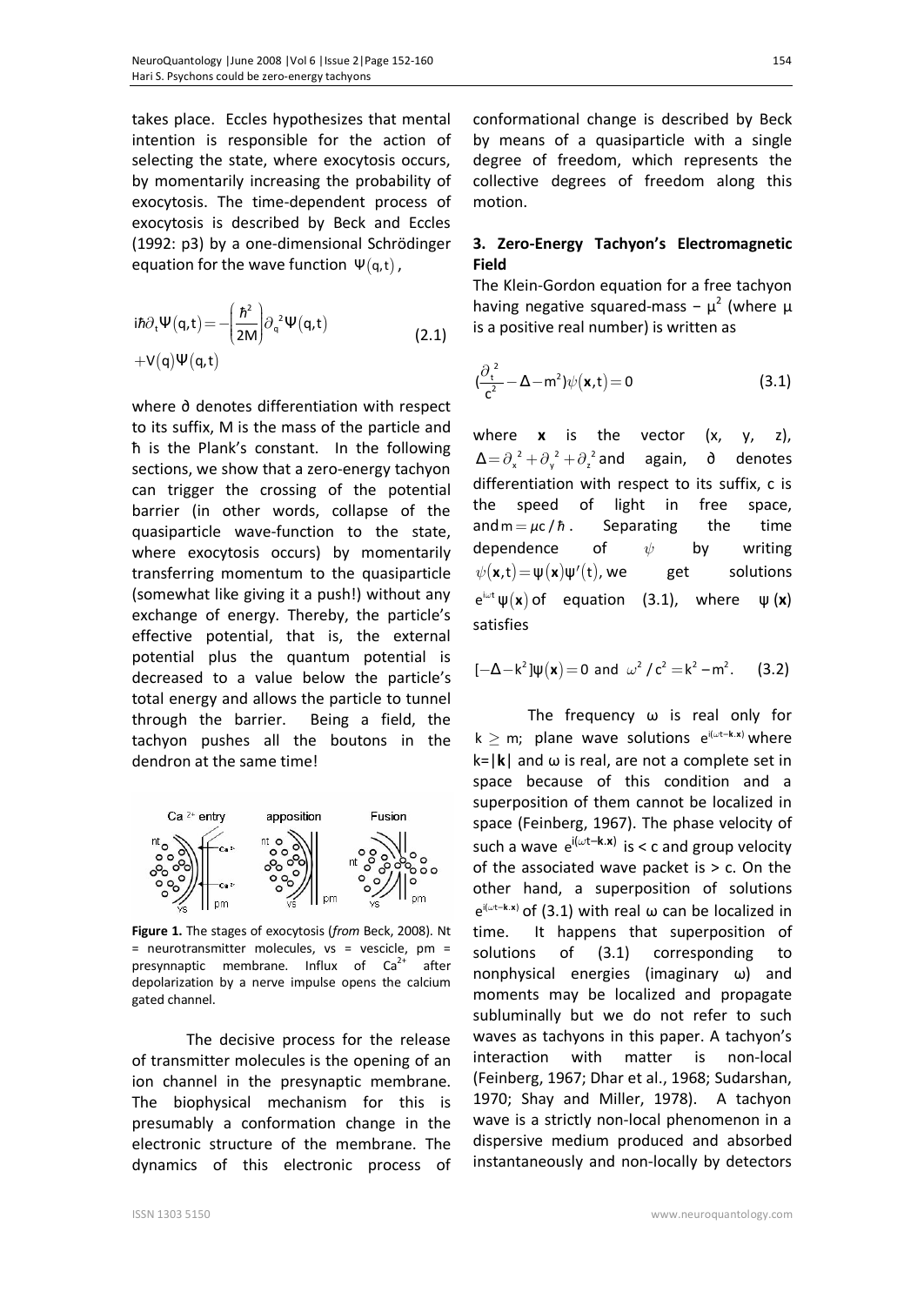takes place. Eccles hypothesizes that mental intention is responsible for the action of selecting the state, where exocytosis occurs, by momentarily increasing the probability of exocytosis. The time-dependent process of exocytosis is described by Beck and Eccles (1992: p3) by a one-dimensional Schrödinger equation for the wave function  $\Psi(q,t)$ ,

$$
i\hbar \partial_t \Psi(q, t) = -\left(\frac{\hbar^2}{2M}\right) \partial_q^2 \Psi(q, t)
$$
  
+V(q) \Psi(q, t) (2.1)

where ∂ denotes differentiation with respect to its suffix, M is the mass of the particle and ћ is the Plank's constant. In the following sections, we show that a zero-energy tachyon can trigger the crossing of the potential barrier (in other words, collapse of the quasiparticle wave-function to the state, where exocytosis occurs) by momentarily transferring momentum to the quasiparticle (somewhat like giving it a push!) without any exchange of energy. Thereby, the particle's effective potential, that is, the external potential plus the quantum potential is decreased to a value below the particle's total energy and allows the particle to tunnel through the barrier. Being a field, the tachyon pushes all the boutons in the dendron at the same time!



**Figure 1.** The stages of exocytosis (*from* Beck, 2008). Nt  $=$  neurotransmitter molecules, vs = vescicle, pm = presynnaptic membrane. Influx of  $Ca^{2+}$ after depolarization by a nerve impulse opens the calcium gated channel.

The decisive process for the release of transmitter molecules is the opening of an ion channel in the presynaptic membrane. The biophysical mechanism for this is presumably a conformation change in the electronic structure of the membrane. The dynamics of this electronic process of conformational change is described by Beck by means of a quasiparticle with a single degree of freedom, which represents the collective degrees of freedom along this motion.

### **3. Zero-Energy Tachyon's Electromagnetic Field**

The Klein-Gordon equation for a free tachyon having negative squared-mass –  $\mu^2$  (where  $\mu$ is a positive real number) is written as

$$
\left(\frac{\partial_t^2}{c^2} - \Delta - m^2\right) \psi(\mathbf{x}, t) = 0 \tag{3.1}
$$

where  $x$  is the vector  $(x, y, z)$ ,  $\Delta = \partial_x^2 + \partial_y^2 + \partial_z^2$  and again, ∂ denotes differentiation with respect to its suffix, c is the speed of light in free space, and  $m = \mu c / \hbar$ . Separating the time dependence of  $\psi$  by writing  $\psi(\mathbf{x},t) = \psi(\mathbf{x}) \psi'(t)$ , we get solutions  $e^{i\omega t} \psi(x)$  of equation (3.1), where  $\psi(x)$ satisfies

$$
[-\Delta - k^2]\psi(\mathbf{x}) = 0 \text{ and } \omega^2 / c^2 = k^2 - m^2. \quad (3.2)
$$

The frequency ω is real only for  $k \ge m$ ; plane wave solutions  $e^{i(\omega t - k.x)}$  where k=|**k**| and ω is real, are not a complete set in space because of this condition and a superposition of them cannot be localized in space (Feinberg, 1967). The phase velocity of such a wave  $e^{i(\omega t - \mathbf{k} \cdot \mathbf{x})}$  is < c and group velocity of the associated wave packet is  $> c$ . On the other hand, a superposition of solutions  $e^{i(\omega t - k.x)}$  of (3.1) with real  $\omega$  can be localized in time. It happens that superposition of solutions of (3.1) corresponding to nonphysical energies (imaginary ω) and moments may be localized and propagate subluminally but we do not refer to such waves as tachyons in this paper. A tachyon's interaction with matter is non-local (Feinberg, 1967; Dhar et al., 1968; Sudarshan, 1970; Shay and Miller, 1978). A tachyon wave is a strictly non-local phenomenon in a dispersive medium produced and absorbed instantaneously and non-locally by detectors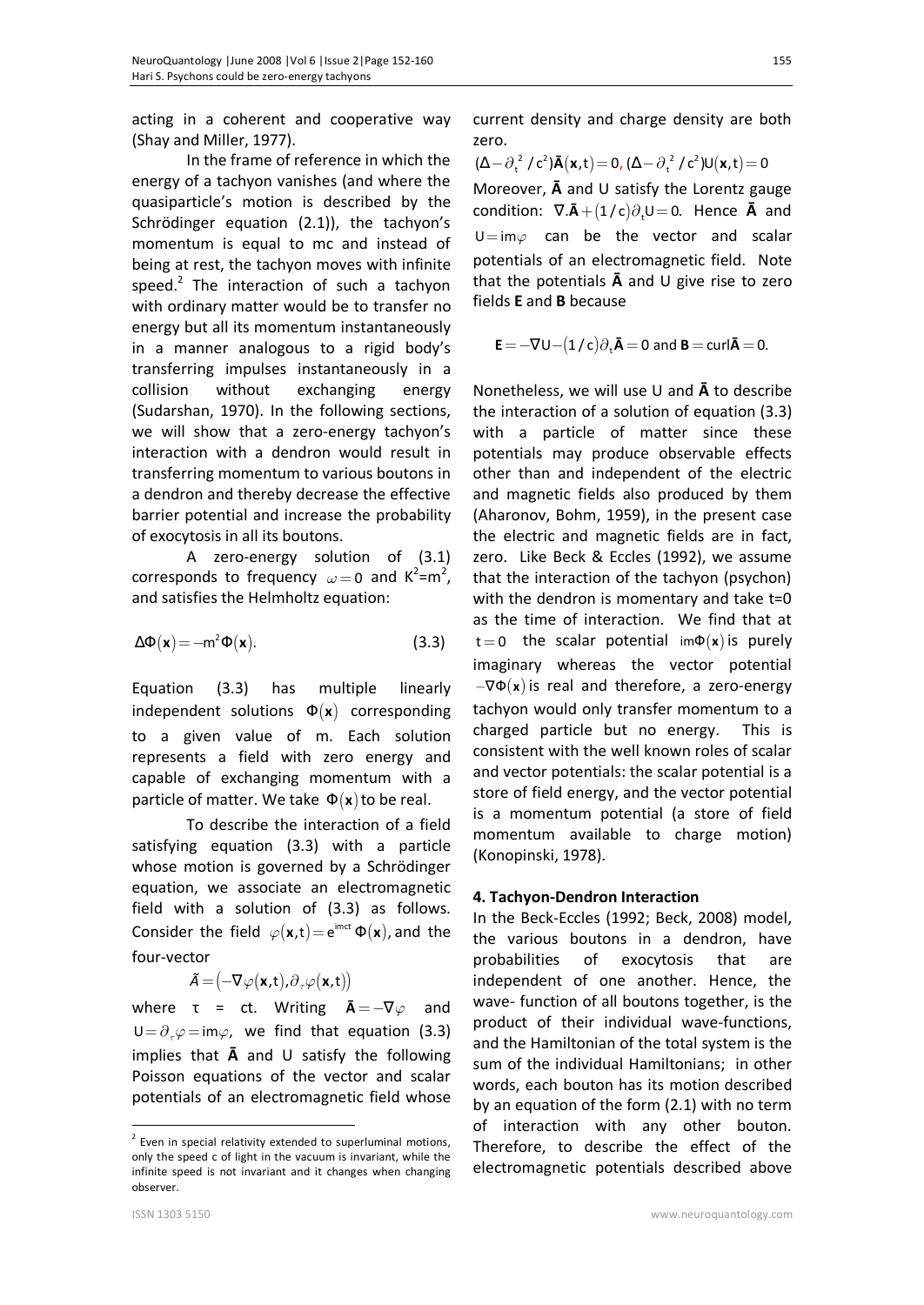acting in a coherent and cooperative way (Shay and Miller, 1977).

In the frame of reference in which the energy of a tachyon vanishes (and where the quasiparticle's motion is described by the Schrödinger equation (2.1)), the tachyon's momentum is equal to mc and instead of being at rest, the tachyon moves with infinite speed. $2$  The interaction of such a tachyon with ordinary matter would be to transfer no energy but all its momentum instantaneously in a manner analogous to a rigid body's transferring impulses instantaneously in a collision without exchanging energy (Sudarshan, 1970). In the following sections, we will show that a zero-energy tachyon's interaction with a dendron would result in transferring momentum to various boutons in a dendron and thereby decrease the effective barrier potential and increase the probability of exocytosis in all its boutons.

A zero-energy solution of (3.1) corresponds to frequency  $\omega = 0$  and  $K^2 = m^2$ , and satisfies the Helmholtz equation:

$$
\Delta \Phi(\mathbf{x}) = -m^2 \Phi(\mathbf{x}). \tag{3.3} t =
$$

Equation (3.3) has multiple linearly independent solutions Φ(**x**) corresponding to a given value of m. Each solution represents a field with zero energy and capable of exchanging momentum with a particle of matter. We take  $\Phi(\mathbf{x})$  to be real.

To describe the interaction of a field satisfying equation (3.3) with a particle whose motion is governed by a Schrödinger equation, we associate an electromagnetic field with a solution of (3.3) as follows. Consider the field  $\varphi(\mathbf{x},t) = e^{imct} \Phi(\mathbf{x})$ , and the four-vector

$$
\tilde{A} = (-\nabla \varphi(\mathbf{x}, t), \partial_{\tau} \varphi(\mathbf{x}, t))
$$

where  $\tau$  = ct. Writing  $\bar{A} = -\nabla \varphi$  and  $U = \partial_z \varphi = im\varphi$ , we find that equation (3.3) implies that **Ā** and U satisfy the following Poisson equations of the vector and scalar potentials of an electromagnetic field whose current density and charge density are both zero.

 $(\Delta - \partial_t^2 / c^2) \bar{A}(\mathbf{x}, t) = 0$ ,  $(\Delta - \partial_t^2 / c^2) U(\mathbf{x}, t) = 0$ Moreover, **Ā** and U satisfy the Lorentz gauge condition:  $\nabla \cdot \mathbf{\bar{A}} + (1/c)\partial_t U = 0$ . Hence **Ā** and  $U=im\varphi$  can be the vector and scalar potentials of an electromagnetic field. Note that the potentials **Ā** and U give rise to zero fields **E** and **B** because

$$
\mathbf{E} = -\nabla U - (1/c)\partial_{t}\mathbf{\bar{A}} = 0 \text{ and } \mathbf{B} = \text{curl}\mathbf{\bar{A}} = 0.
$$

Nonetheless, we will use U and **Ā** to describe the interaction of a solution of equation (3.3) with a particle of matter since these potentials may produce observable effects other than and independent of the electric and magnetic fields also produced by them (Aharonov, Bohm, 1959), in the present case the electric and magnetic fields are in fact, zero. Like Beck & Eccles (1992), we assume that the interaction of the tachyon (psychon) with the dendron is momentary and take t=0 as the time of interaction. We find that at t=0 the scalar potential im $\Phi(\mathbf{x})$  is purely imaginary whereas the vector potential  $-\nabla\Phi(\mathbf{x})$  is real and therefore, a zero-energy tachyon would only transfer momentum to a charged particle but no energy. This is consistent with the well known roles of scalar and vector potentials: the scalar potential is a store of field energy, and the vector potential is a momentum potential (a store of field momentum available to charge motion) (Konopinski, 1978).

#### **4. Tachyon-Dendron Interaction**

In the Beck-Eccles (1992; Beck, 2008) model, the various boutons in a dendron, have probabilities of exocytosis that are independent of one another. Hence, the wave- function of all boutons together, is the product of their individual wave-functions, and the Hamiltonian of the total system is the sum of the individual Hamiltonians; in other words, each bouton has its motion described by an equation of the form (2.1) with no term of interaction with any other bouton. Therefore, to describe the effect of the electromagnetic potentials described above

 $\overline{a}$ 

 $2$  Even in special relativity extended to superluminal motions, only the speed c of light in the vacuum is invariant, while the infinite speed is not invariant and it changes when changing observer.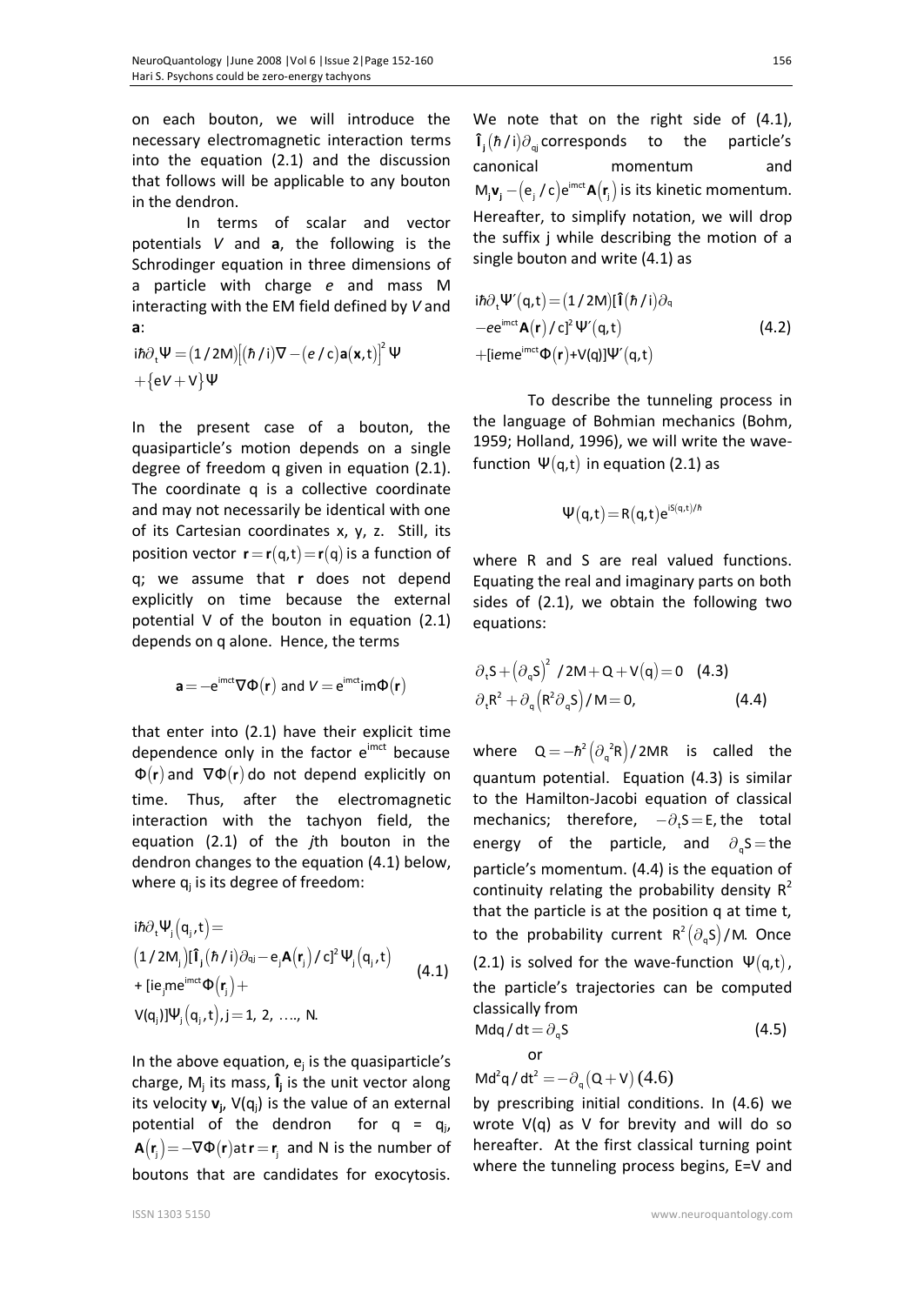on each bouton, we will introduce the necessary electromagnetic interaction terms into the equation (2.1) and the discussion that follows will be applicable to any bouton in the dendron.

In terms of scalar and vector potentials *V* and **a**, the following is the Schrodinger equation in three dimensions of a particle with charge *e* and mass M interacting with the EM field defined by *V* and **a**:

$$
\begin{aligned} i\hbar\partial_t\Psi\,&=\big(1\,/\,2M\big)\big[\big(\hbar\,/\,i\big)\nabla-\big(e\,/\,c\big)\textbf{a}\big(\textbf{x},t\big)\big]^2\,\Psi \\ &+\big\{eV+V\big\}\Psi \end{aligned}
$$

In the present case of a bouton, the quasiparticle's motion depends on a single degree of freedom q given in equation (2.1). The coordinate q is a collective coordinate and may not necessarily be identical with one of its Cartesian coordinates x, y, z. Still, its position vector  $\mathbf{r} = \mathbf{r}(\mathbf{q}, \mathbf{t}) = \mathbf{r}(\mathbf{q})$  is a function of q; we assume that **r** does not depend explicitly on time because the external potential V of the bouton in equation (2.1) depends on q alone. Hence, the terms

$$
\mathbf{a} = -e^{imct} \nabla \Phi(\mathbf{r}) \text{ and } V = e^{imct} \text{im} \Phi(\mathbf{r})
$$

that enter into (2.1) have their explicit time dependence only in the factor  $e^{imct}$  because Φ(**r**) and ∇Φ(**r**) do not depend explicitly on time. Thus, after the electromagnetic interaction with the tachyon field, the equation (2.1) of the *j*th bouton in the dendron changes to the equation (4.1) below, where  $q_j$  is its degree of freedom:

$$
\begin{aligned}\n&\text{i}\hbar\partial_{t}\Psi_{j}(q_{j},t) = \\
&\left(1/2M_{j}\right)\left[\hat{\mathbf{I}}_{j}(\hbar/i)\partial_{qj} - e_{j}\mathbf{A}(\mathbf{r}_{j})/c\right]^{2}\Psi_{j}(q_{j},t) \\
&\text{+} \left[i\mathbf{e}_{j}\text{me}^{\text{imct}}\Phi(\mathbf{r}_{j}) + \\
&\text{V}(q_{j})\right]\Psi_{j}(q_{j},t), j = 1, 2, \dots, N.\n\end{aligned} \tag{4.1}
$$

In the above equation,  $e_j$  is the quasiparticle's charge, M<sup>j</sup> its mass, **Î<sup>j</sup>** is the unit vector along its velocity **v<sup>j</sup>** , V(qj) is the value of an external potential of the dendron for  $q = q_i$ ,  $A(\mathbf{r}_i) = -\nabla \Phi(\mathbf{r})$  at  $\mathbf{r} = \mathbf{r}_i$  and N is the number of boutons that are candidates for exocytosis.

We note that on the right side of  $(4.1)$ ,  $\mathbf{\hat{I}}_j(\hbar/i)\partial_{\mathbf{q}j}$  corresponds to the particle's canonical momentum and  $M_j$ **v**<sub>i</sub>  $-(e_j/c)e^{imct}$ **A** $(r_j)$  is its kinetic momentum. Hereafter, to simplify notation, we will drop the suffix j while describing the motion of a single bouton and write (4.1) as

$$
i\hbar \partial_{t} \Psi'(q,t) = (1/2M)[\hat{\mathbf{I}}(\hbar/i)\partial_{q} -ee^{imct} \mathbf{A}(\mathbf{r})/c]^2 \Psi'(q,t)
$$
(4.2)  
+[ieme^{imct} \Phi(\mathbf{r})+V(q)]\Psi'(q,t)

To describe the tunneling process in the language of Bohmian mechanics (Bohm, 1959; Holland, 1996), we will write the wavefunction  $\Psi(q,t)$  in equation (2.1) as

$$
\Psi(q,t)\!=\!R(q,t)e^{iS(q,t)/\hbar}
$$

where R and S are real valued functions. Equating the real and imaginary parts on both sides of (2.1), we obtain the following two equations:

$$
\partial_{\tau} S + \left(\partial_{q} S\right)^{2} / 2M + Q + V(q) = 0 \quad (4.3)
$$
  

$$
\partial_{\tau} R^{2} + \partial_{q} \left(R^{2} \partial_{q} S\right) / M = 0, \quad (4.4)
$$

where  $Q = -\hbar^2 \left( \partial_q^2 R \right) / 2MR$  is called the quantum potential. Equation (4.3) is similar to the Hamilton-Jacobi equation of classical mechanics; therefore,  $-\partial_t S = E$ , the total energy of the particle, and  $\partial_{\alpha} S =$ the particle's momentum. (4.4) is the equation of continuity relating the probability density  $R^2$ that the particle is at the position q at time t, to the probability current  $R^2(\partial_q S)/M$ . Once (2.1) is solved for the wave-function  $\Psi(q,t)$ , the particle's trajectories can be computed classically from Mdq/dt =  $\partial_q$ S (4.5)

$$
\frac{1-\sigma_q}{2}
$$

Md<sup>2</sup>q/dt<sup>2</sup> =  $-\partial_q (Q + V) (4.6)$ 

by prescribing initial conditions. In (4.6) we wrote  $V(q)$  as V for brevity and will do so hereafter. At the first classical turning point where the tunneling process begins, E=V and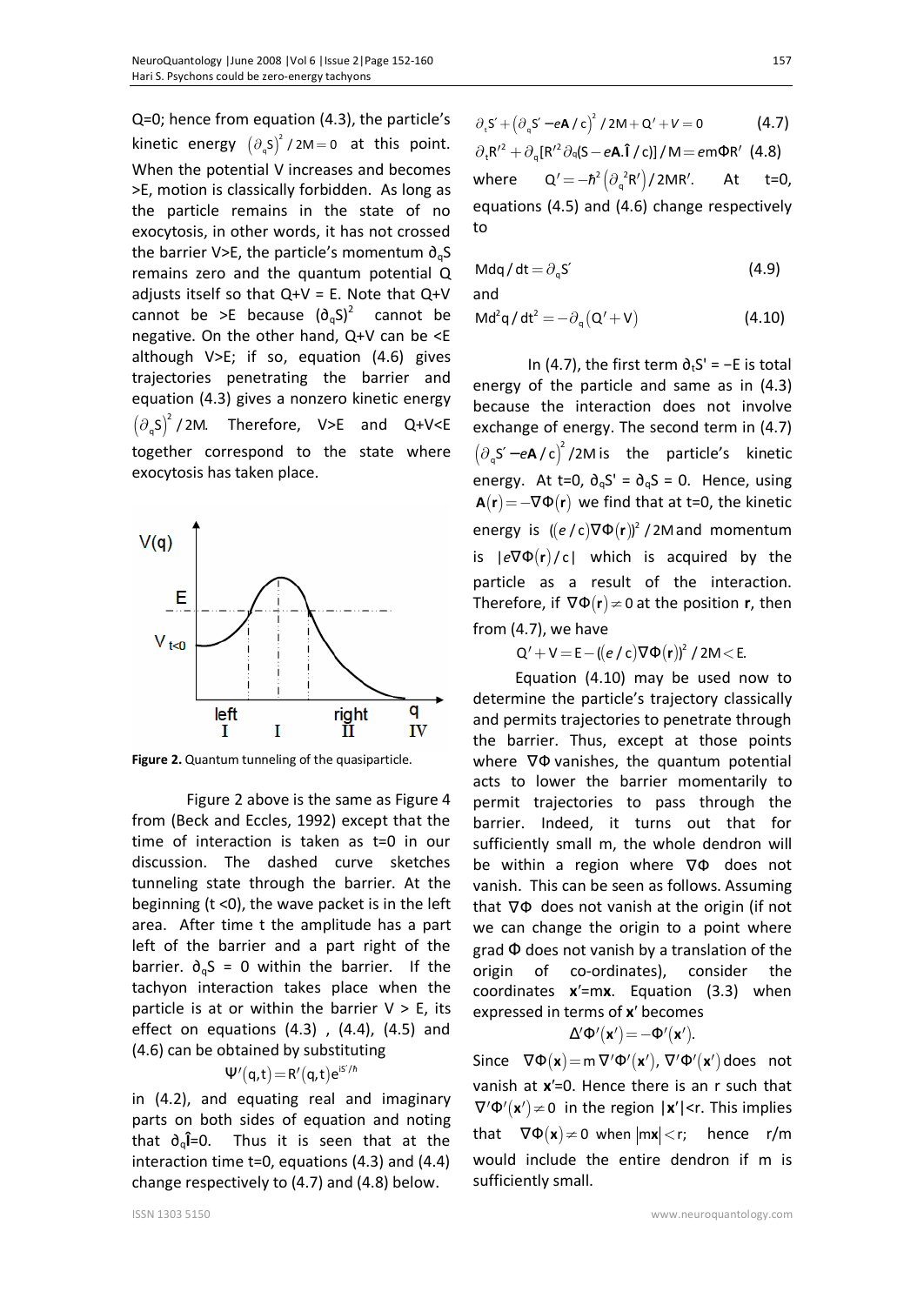Q=0; hence from equation (4.3), the particle's kinetic energy  $(\partial_{q}S)^{2}$  $\partial_q S$ <sup>2</sup>/2M = 0 at this point. When the potential V increases and becomes >E, motion is classically forbidden. As long as the particle remains in the state of no exocytosis, in other words, it has not crossed the barrier V>E, the particle's momentum  $\partial_{q}S$ remains zero and the quantum potential Q adjusts itself so that  $Q+V = E$ . Note that  $Q+V$ cannot be >E because  $(\partial_{\alpha}S)^2$  cannot be negative. On the other hand, Q+V can be <E although V>E; if so, equation (4.6) gives trajectories penetrating the barrier and equation (4.3) gives a nonzero kinetic energy  $(\partial_{q}S)^{2}$ Therefore, V>E and Q+V<E together correspond to the state where exocytosis has taken place.



**Figure 2.** Quantum tunneling of the quasiparticle.

Figure 2 above is the same as Figure 4 from (Beck and Eccles, 1992) except that the time of interaction is taken as t=0 in our discussion. The dashed curve sketches tunneling state through the barrier. At the beginning  $(t \le 0)$ , the wave packet is in the left area. After time t the amplitude has a part left of the barrier and a part right of the barrier.  $\partial_{q}S = 0$  within the barrier. If the tachyon interaction takes place when the particle is at or within the barrier  $V > E$ , its effect on equations  $(4.3)$ ,  $(4.4)$ ,  $(4.5)$  and (4.6) can be obtained by substituting

$$
\Psi'(q,t)\!=\!R'(q,t)e^{iS'/\hbar}
$$

in (4.2), and equating real and imaginary parts on both sides of equation and noting that ∂q**Î**=0. Thus it is seen that at the interaction time t=0, equations (4.3) and (4.4) change respectively to (4.7) and (4.8) below.

$$
\partial_{\tau} S' + \left(\partial_{\mathbf{q}} S' - e\mathbf{A}/c\right)^{2} / 2M + Q' + V = 0
$$
 (4.7)  

$$
\partial_{\tau} R'^{2} + \partial_{\mathbf{q}} [R'^{2} \partial_{\mathbf{q}} (S - e\mathbf{A}.\hat{\mathbf{I}} / c)] / M = e m \Phi R' \text{ (4.8)}
$$

where  $Q' = -\hbar^2 \left( \partial_q^2 R' \right) / 2MR'$ . At t=0, equations (4.5) and (4.6) change respectively to

$$
Mdq/dt = \partial_q S'
$$
 (4.9)

and

$$
Md^2q/dt^2 = -\partial_q(Q'+V)
$$
 (4.10)

In (4.7), the first term  $\partial_t S' = -E$  is total energy of the particle and same as in (4.3) because the interaction does not involve exchange of energy. The second term in (4.7)  $(\partial_q S' - eA/c)^2$ /2M is the particle's kinetic energy. At t=0,  $\partial_{a}S' = \partial_{a}S = 0$ . Hence, using  ${\bf A}({\bf r}) = -\nabla \Phi({\bf r})$  we find that at t=0, the kinetic energy is  $((e/c)\nabla\Phi(r))^2$  / 2M and momentum is |*e*∇Φ(**r**)/ c| which is acquired by the particle as a result of the interaction. Therefore, if  $\nabla \Phi(\mathbf{r}) \neq 0$  at the position **r**, then from (4.7), we have

$$
Q' + V = E - ((e/c)\nabla \Phi(\mathbf{r}))^2 / 2M < E.
$$

Equation (4.10) may be used now to determine the particle's trajectory classically and permits trajectories to penetrate through the barrier. Thus, except at those points where  $∇Φ$  vanishes, the quantum potential acts to lower the barrier momentarily to permit trajectories to pass through the barrier. Indeed, it turns out that for sufficiently small m, the whole dendron will be within a region where ∇Φ does not vanish. This can be seen as follows. Assuming that ∇Φ does not vanish at the origin (if not we can change the origin to a point where grad  $\Phi$  does not vanish by a translation of the origin of co-ordinates), consider the coordinates **x**′=m**x**. Equation (3.3) when expressed in terms of **x**′ becomes

$$
\Delta' \Phi' \big( \mathbf{x}' \big) \!=\! - \Phi' \big( \mathbf{x}' \big).
$$

Since  $\nabla \Phi(\mathbf{x}) = m \nabla' \Phi'(\mathbf{x}')$ ,  $\nabla' \Phi'(\mathbf{x}')$  does not vanish at **x**′=0. Hence there is an r such that  $\nabla' \Phi'(\mathbf{x}') \neq 0$  in the region  $|\mathbf{x}'|$  < r. This implies that  $\nabla \Phi(\mathbf{x}) \neq 0$  when  $|m\mathbf{x}| < r$ ; hence r/m would include the entire dendron if m is sufficiently small.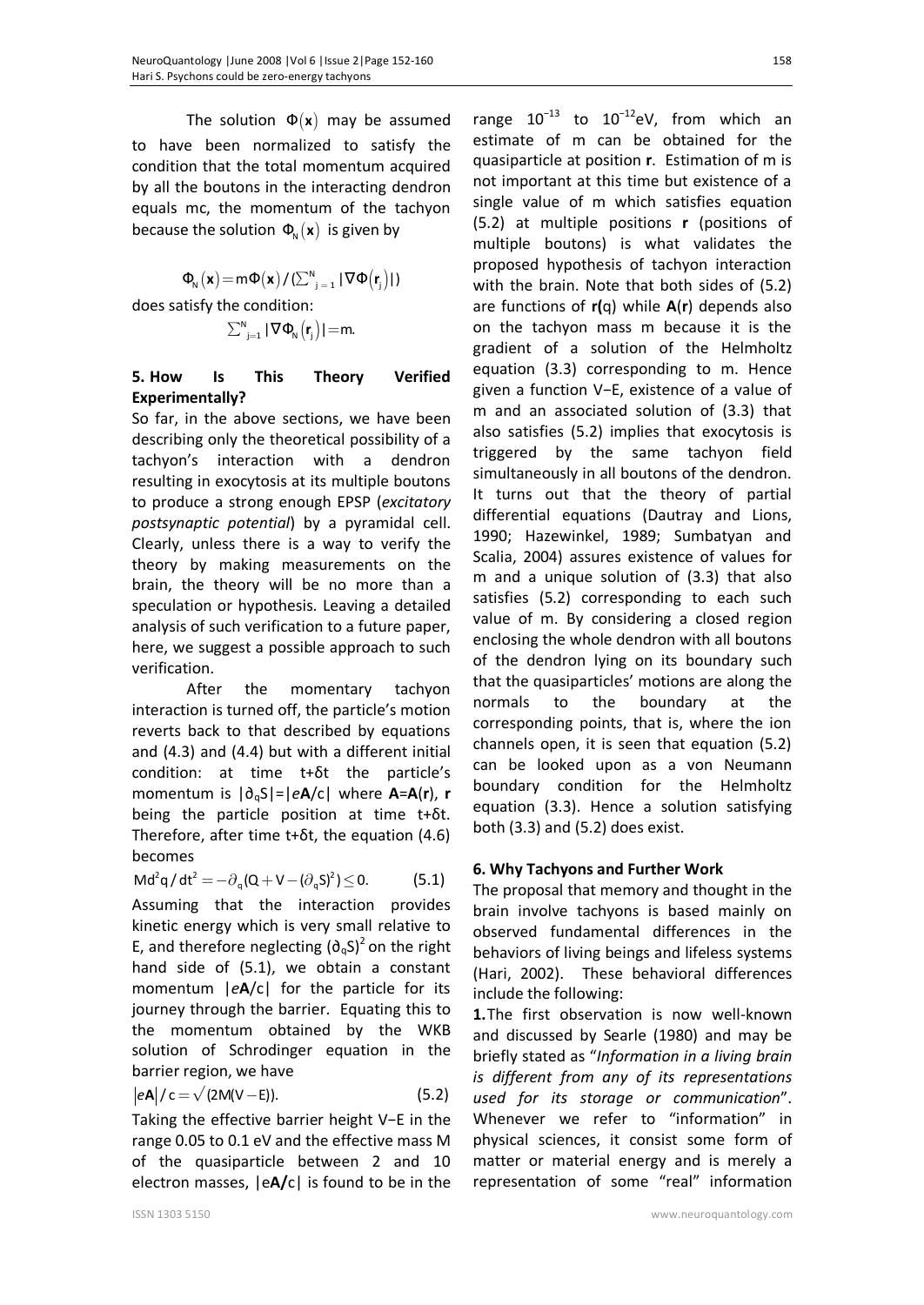The solution  $\Phi(x)$  may be assumed to have been normalized to satisfy the condition that the total momentum acquired by all the boutons in the interacting dendron equals mc, the momentum of the tachyon because the solution  $\Phi_{\theta}(\mathbf{x})$  is given by

$$
\Phi_{\scriptscriptstyle N}^{}(\boldsymbol{x}) \!=\! m \Phi(\boldsymbol{x}) / (\Sigma_{j=1}^N \,|\, \nabla \Phi\big(\boldsymbol{r}_j\big) |)
$$

does satisfy the condition:

$$
\sum_{j=1}^{N} |\nabla \Phi_{N}(\mathbf{r}_{j})| = m.
$$

## **5. How Is This Theory Verified Experimentally?**

So far, in the above sections, we have been describing only the theoretical possibility of a tachyon's interaction with a dendron resulting in exocytosis at its multiple boutons to produce a strong enough EPSP (*excitatory postsynaptic potential*) by a pyramidal cell. Clearly, unless there is a way to verify the theory by making measurements on the brain, the theory will be no more than a speculation or hypothesis. Leaving a detailed analysis of such verification to a future paper, here, we suggest a possible approach to such verification.

After the momentary tachyon interaction is turned off, the particle's motion reverts back to that described by equations and (4.3) and (4.4) but with a different initial condition: at time t+δt the particle's momentum is |∂qS|=|*e***A**/c| where **A**=**A**(**r**), **r** being the particle position at time t+δt. Therefore, after time t+δt, the equation (4.6) becomes

$$
Md^2q/dt^2 = -\partial_q(Q + V - (\partial_q S)^2) \leq 0. \tag{5.1}
$$

Assuming that the interaction provides kinetic energy which is very small relative to E, and therefore neglecting  $(\partial_{\alpha}S)^2$  on the right hand side of (5.1), we obtain a constant momentum |*e***A**/c| for the particle for its journey through the barrier. Equating this to the momentum obtained by the WKB solution of Schrodinger equation in the barrier region, we have

$$
|e\mathbf{A}|/c = \sqrt{(2M(V-E))}.
$$
 (5.2)

Taking the effective barrier height V−E in the range 0.05 to 0.1 eV and the effective mass M of the quasiparticle between 2 and 10 electron masses, |e**A/**c| is found to be in the

range  $10^{-13}$  to  $10^{-12}$ eV, from which an estimate of m can be obtained for the quasiparticle at position **r**. Estimation of m is not important at this time but existence of a single value of m which satisfies equation (5.2) at multiple positions **r** (positions of multiple boutons) is what validates the proposed hypothesis of tachyon interaction with the brain. Note that both sides of (5.2) are functions of **r(**q) while **A**(**r**) depends also on the tachyon mass m because it is the gradient of a solution of the Helmholtz equation (3.3) corresponding to m. Hence given a function V−E, existence of a value of m and an associated solution of (3.3) that also satisfies (5.2) implies that exocytosis is triggered by the same tachyon field simultaneously in all boutons of the dendron. It turns out that the theory of partial differential equations (Dautray and Lions, 1990; Hazewinkel, 1989; Sumbatyan and Scalia, 2004) assures existence of values for m and a unique solution of (3.3) that also satisfies (5.2) corresponding to each such value of m. By considering a closed region enclosing the whole dendron with all boutons of the dendron lying on its boundary such that the quasiparticles' motions are along the normals to the boundary at the corresponding points, that is, where the ion channels open, it is seen that equation (5.2) can be looked upon as a von Neumann boundary condition for the Helmholtz equation (3.3). Hence a solution satisfying both (3.3) and (5.2) does exist.

# **6. Why Tachyons and Further Work**

The proposal that memory and thought in the brain involve tachyons is based mainly on observed fundamental differences in the behaviors of living beings and lifeless systems (Hari, 2002). These behavioral differences include the following:

**1.**The first observation is now well-known and discussed by Searle (1980) and may be briefly stated as "*Information in a living brain is different from any of its representations used for its storage or communication*". Whenever we refer to "information" in physical sciences, it consist some form of matter or material energy and is merely a representation of some "real" information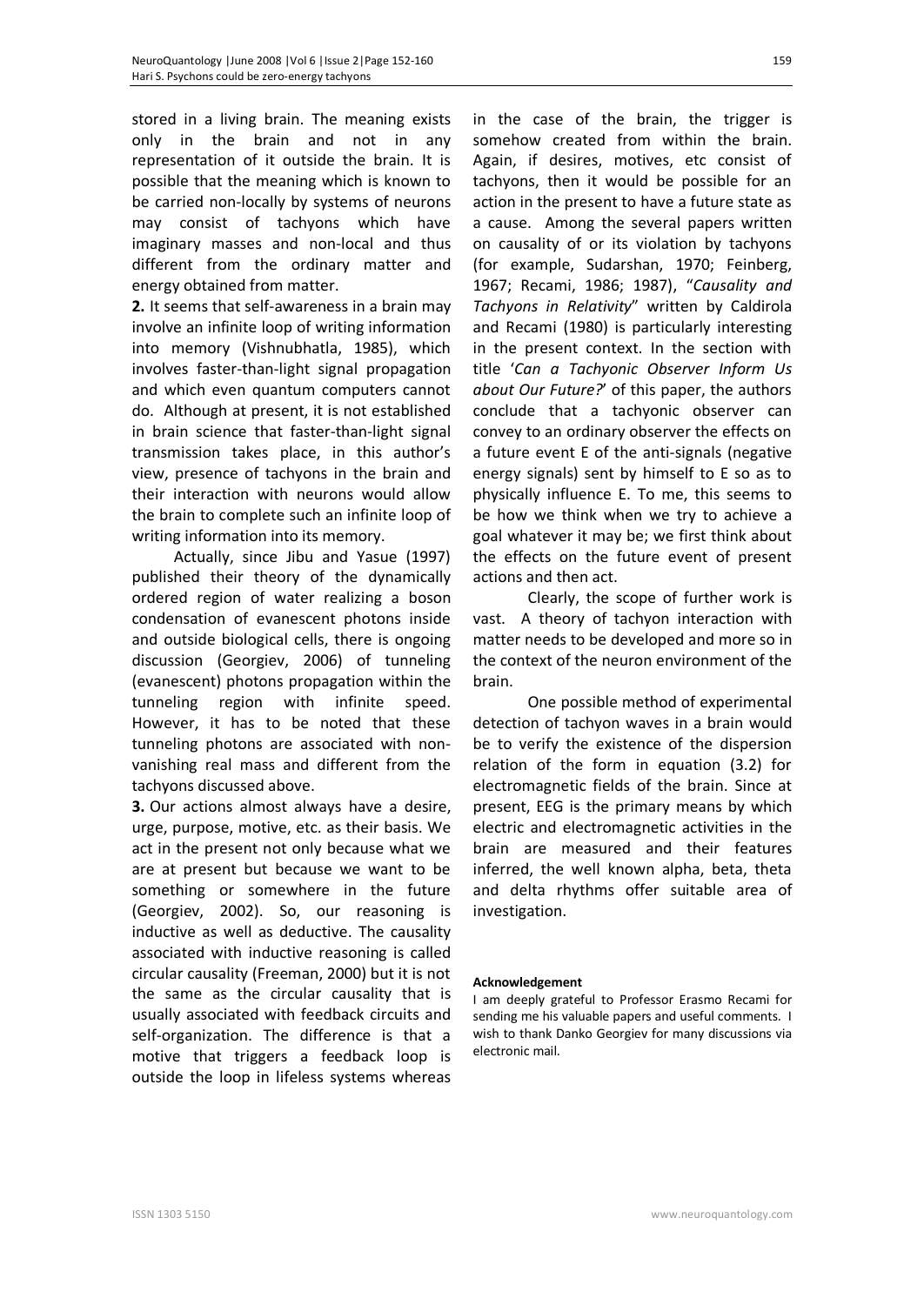stored in a living brain. The meaning exists only in the brain and not in any representation of it outside the brain. It is possible that the meaning which is known to be carried non-locally by systems of neurons may consist of tachyons which have imaginary masses and non-local and thus different from the ordinary matter and energy obtained from matter.

**2.** It seems that self-awareness in a brain may involve an infinite loop of writing information into memory (Vishnubhatla, 1985), which involves faster-than-light signal propagation and which even quantum computers cannot do. Although at present, it is not established in brain science that faster-than-light signal transmission takes place, in this author's view, presence of tachyons in the brain and their interaction with neurons would allow the brain to complete such an infinite loop of writing information into its memory.

Actually, since Jibu and Yasue (1997) published their theory of the dynamically ordered region of water realizing a boson condensation of evanescent photons inside and outside biological cells, there is ongoing discussion (Georgiev, 2006) of tunneling (evanescent) photons propagation within the tunneling region with infinite speed. However, it has to be noted that these tunneling photons are associated with nonvanishing real mass and different from the tachyons discussed above.

**3.** Our actions almost always have a desire, urge, purpose, motive, etc. as their basis. We act in the present not only because what we are at present but because we want to be something or somewhere in the future (Georgiev, 2002). So, our reasoning is inductive as well as deductive. The causality associated with inductive reasoning is called circular causality (Freeman, 2000) but it is not the same as the circular causality that is usually associated with feedback circuits and self-organization. The difference is that a motive that triggers a feedback loop is outside the loop in lifeless systems whereas

in the case of the brain, the trigger is somehow created from within the brain. Again, if desires, motives, etc consist of tachyons, then it would be possible for an action in the present to have a future state as a cause. Among the several papers written on causality of or its violation by tachyons (for example, Sudarshan, 1970; Feinberg, 1967; Recami, 1986; 1987), "*Causality and Tachyons in Relativity*" written by Caldirola and Recami (1980) is particularly interesting in the present context. In the section with title '*Can a Tachyonic Observer Inform Us about Our Future?*' of this paper, the authors conclude that a tachyonic observer can convey to an ordinary observer the effects on a future event E of the anti-signals (negative energy signals) sent by himself to E so as to physically influence E. To me, this seems to be how we think when we try to achieve a goal whatever it may be; we first think about the effects on the future event of present actions and then act.

Clearly, the scope of further work is vast. A theory of tachyon interaction with matter needs to be developed and more so in the context of the neuron environment of the brain.

One possible method of experimental detection of tachyon waves in a brain would be to verify the existence of the dispersion relation of the form in equation (3.2) for electromagnetic fields of the brain. Since at present, EEG is the primary means by which electric and electromagnetic activities in the brain are measured and their features inferred, the well known alpha, beta, theta and delta rhythms offer suitable area of investigation.

#### **Acknowledgement**

I am deeply grateful to Professor Erasmo Recami for sending me his valuable papers and useful comments. I wish to thank Danko Georgiev for many discussions via electronic mail.